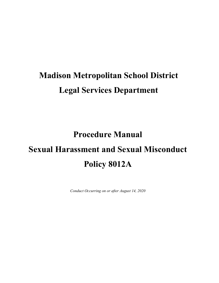# **Madison Metropolitan School District Legal Services Department**

**Procedure Manual**

# **Sexual Harassment and Sexual Misconduct Policy 8012A**

*Conduct Occurring on or after August 14, 2020*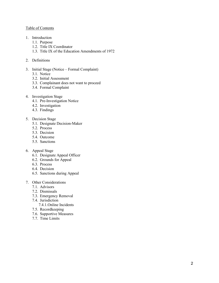#### Table of Contents

- 1. Introduction
	- 1.1. Purpose
	- 1.2. Title IX Coordinator
	- 1.3. Title IX of the Education Amendments of 1972
- 2. Definitions
- 3. Initial Stage (Notice Formal Complaint)
	- 3.1. Notice
	- 3.2. Initial Assessment
	- 3.3. Complainant does not want to proceed
	- 3.4. Formal Complaint
- 4. Investigation Stage
	- 4.1. Pre-Investigation Notice
	- 4.2. Investigation
	- 4.3. Findings
- 5. Decision Stage
	- 5.1. Designate Decision-Maker
	- 5.2. Process
	- 5.3. Decision
	- 5.4. Outcome
	- 5.5. Sanctions
- 6. Appeal Stage
	- 6.1. Designate Appeal Officer
	- 6.2. Grounds for Appeal
	- 6.3. Process
	- 6.4. Decision
	- 6.5. Sanctions during Appeal
- 7. Other Considerations
	- 7.1. Advisors
	- 7.2. Dismissals
	- 7.3. Emergency Removal
	- 7.4. Jurisdiction
		- 7.4.1.Online Incidents
	- 7.5. Recordkeeping
	- 7.6. Supportive Measures
	- 7.7. Time Limits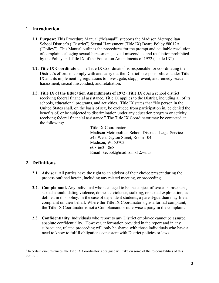## **1. Introduction**

- **1.1. Purpose:** This Procedure Manual ("Manual") supports the Madison Metropolitan School District's ("District") Sexual Harassment (Title IX) Board Policy #8012A ("Policy"). This Manual outlines the procedures for the prompt and equitable resolution of complaints alleging sexual harassment, sexual misconduct and retaliation prohibited by the Policy and Title IX of the Education Amendments of 1972 ("Title IX").
- **[1](#page-2-0).2. Title IX Coordinator:** The Title IX Coordinator<sup>1</sup> is responsible for coordinating the District's efforts to comply with and carry out the District's responsibilities under Title IX and its implementing regulations to investigate, stop, prevent, and remedy sexual harassment, sexual misconduct, and retaliation.
- **1.3. Title IX of the Education Amendments of 1972 (Title IX):** As a school district receiving federal financial assistance, Title IX applies to the District, including all of its schools, educational programs, and activities. Title IX states that "No person in the United States shall, on the basis of sex, be excluded from participation in, be denied the benefits of, or be subjected to discrimination under any education program or activity receiving federal financial assistance." The Title IX Coordinator may be contacted at the following:

Title IX Coordinator Madison Metropolitan School District - Legal Services 545 West Dayton Street, Room 104 Madison, WI 53703 608-663-1868 Email: kecook@madison.k12.wi.us

## **2. Definitions**

- **2.1. Advisor.** All parties have the right to an advisor of their choice present during the process outlined herein, including any related meeting, or proceeding.
- **2.2. Complainant.** Any individual who is alleged to be the subject of sexual harassment, sexual assault, dating violence, domestic violence, stalking, or sexual exploitation, as defined in this policy. In the case of dependent students, a parent/guardian may file a complaint on their behalf. Where the Title IX Coordinator signs a formal complaint, the Title IX Coordinator is not a Complainant or otherwise a party in the complaint.
- **2.3. Confidentiality.** Individuals who report to any District employee cannot be assured absolute confidentiality. However, information provided in the report and in any subsequent, related proceeding will only be shared with those individuals who have a need to know to fulfill obligations consistent with District policies or laws.

<span id="page-2-0"></span><sup>&</sup>lt;sup>1</sup> In certain circumstances, the Title IX Coordinator's designee will take on some of the responsibilities of this position.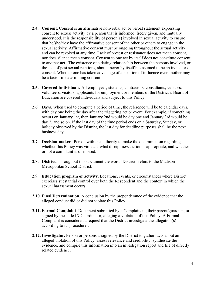- **2.4. Consent**. Consent is an affirmative nonverbal act or verbal statement expressing consent to sexual activity by a person that is informed, freely given, and mutually understood. It is the responsibility of person(s) involved in sexual activity to ensure that he/she/they have the affirmative consent of the other or others to engage in the sexual activity. Affirmative consent must be ongoing throughout the sexual activity and can be revoked at any time. Lack of protest or resistance does not mean consent, nor does silence mean consent. Consent to one act by itself does not constitute consent to another act. The existence of a dating relationship between the persons involved, or the fact of past sexual relations, should never by itself be assumed to be an indicator of consent. Whether one has taken advantage of a position of influence over another may be a factor in determining consent.
- **2.5. Covered Individuals.** All employees, students, contractors, consultants, vendors, volunteers, visitors, applicants for employment or members of the District's Board of Education are covered individuals and subject to this Policy.
- **2.6. Days.** When used to compute a period of time, the reference will be to calendar days, with day one being the day after the triggering act or event. For example, if something occurs on January 1st, then January 2nd would be day one and January 3rd would be day 2, and so on. If the last day of the time period ends on a Saturday, Sunday, or holiday observed by the District, the last day for deadline purposes shall be the next business day.
- **2.7. Decision-maker**. Person with the authority to make the determination regarding whether this Policy was violated, what discipline/sanction is appropriate, and whether or not a complaint is dismissed.
- **2.8. District**. Throughout this document the word "District" refers to the Madison Metropolitan School District.
- **2.9. Education program or activity.** Locations, events, or circumstances where District exercises substantial control over both the Respondent and the context in which the sexual harassment occurs.
- **2.10. Final Determination.** A conclusion by the preponderance of the evidence that the alleged conduct did or did not violate this Policy.
- **2.11. Formal Complaint**. Document submitted by a Complainant, their parent/guardian, or signed by the Title IX Coordinator, alleging a violation of this Policy. A Formal Complaint is considered a request that the District investigate the allegation(s) according to its procedures.
- **2.12. Investigator.** Person or persons assigned by the District to gather facts about an alleged violation of this Policy, assess relevance and credibility, synthesize the evidence, and compile this information into an investigation report and file of directly related evidence.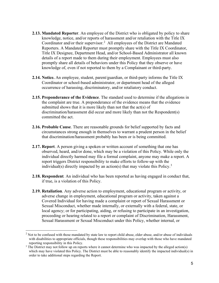- **2.13. Mandated Reporter**. An employee of the District who is obligated by policy to share knowledge, notice, and/or reports of harassment and/or retaliation with the Title IX Coordinator and/or their supervisor.<sup>[2](#page-4-0)</sup> All employees of the District are Mandated Reporters. A Mandated Reporter must promptly share with the Title IX Coordinator, Title IX Designee, Department Head, and/or School-Based Administrator all known details of a report made to them during their employment. Employees must also promptly share all details of behaviors under this Policy that they observe or have knowledge of, even if not reported to them by a Complainant or third-party.
- **2.14. Notice.** An employee, student, parent/guardian, or third-party informs the Title IX Coordinator or school-based administrator, or department head of the alleged occurrence of harassing, discriminatory, and/or retaliatory conduct.
- **2.15. Preponderance of the Evidence**. The standard used to determine if the allegations in the complaint are true. A preponderance of the evidence means that the evidence submitted shows that it is more likely than not that the act(s) of discrimination/harassment did occur and more likely than not the Respondent(s) committed the act.
- **2.16. Probable Cause**. There are reasonable grounds for belief supported by facts and circumstances strong enough in themselves to warrant a prudent person in the belief that discrimination/harassment probably has been or is being committed.
- **2.17. Report**. A person giving a spoken or written account of something that one has observed, heard, and/or done, which may be a violation of this Policy. While only the individual directly harmed may file a formal complaint, anyone may make a report. A report triggers District responsibility to make efforts to follow-up with the individual(s) directly impacted by an action(s) that may violate this Policy.<sup>[3](#page-4-1)</sup>
- **2.18. Respondent***.* An individual who has been reported as having engaged in conduct that, if true, is a violation of this Policy.
- **2.19. Retaliation**. Any adverse action to employment, educational program or activity, or adverse change in employment, educational program or activity, taken against a Covered Individual for having made a complaint or report of Sexual Harassment or Sexual Misconduct, whether made internally, or externally with a federal, state, or local agency; or for participating, aiding, or refusing to participate in an investigation, proceeding or hearing related to a report or complaint of Discrimination, Harassment, Sexual Harassment or Sexual Misconduct under this Policy, whether internal, or

<span id="page-4-0"></span> $<sup>2</sup>$  Not to be confused with those mandated by state law to report child abuse, elder abuse, and/or abuse of individuals</sup> with disabilities to appropriate officials, though these responsibilities may overlap with those who have mandated reporting responsibility in this Policy.<br><sup>3</sup> The District may not follow up on reports where it cannot determine who was impacted by the alleged action(s)

<span id="page-4-1"></span>which may have violated this Policy. The District must be able to reasonably identify the impacted individual(s) in order to take additional steps regarding the Report.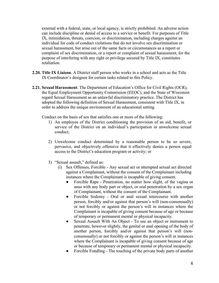external with a federal, state, or local agency, is strictly prohibited. An adverse action can include discipline or denial of access to a service or benefit. For purposes of Title IX, intimidation, threats, coercion, or discrimination, including charges against an individual for code of conduct violations that do not involve sex discrimination or sexual harassment, but arise out of the same facts or circumstances as a report or complaint of sex discrimination, or a report or complaint of sexual harassment, for the purpose of interfering with any right or privilege secured by Title IX, constitutes retaliation.

- **2.20. Title IX Liaison**. A District staff person who works in a school and acts as the Title IX Coordinator's designee for certain tasks related to this Policy.
- **2.21. Sexual Harassment**. The Department of Education's Office for Civil Rights (OCR), the Equal Employment Opportunity Commission (EEOC), and the State of Wisconsin regard Sexual Harassment as an unlawful discriminatory practice. The District has adopted the following definition of Sexual Harassment, consistent with Title IX, in order to address the unique environment of an educational setting.

Conduct on the basis of sex that satisfies one or more of the following:

- 1) An employee of the District conditioning the provision of an aid, benefit, or service of the District on an individual's participation in unwelcome sexual conduct;
- 2) Unwelcome conduct determined by a reasonable person to be so severe, pervasive, and objectively offensive that it effectively denies a person equal access to the District's education program or activity; or
- 3) "Sexual assault," defined as:
	- (i) Sex Offenses, Forcible Any sexual act or attempted sexual act directed against a Complainant, without the consent of the Complainant including instances where the Complainant is incapable of giving consent.
		- Forcible Rape Penetration, no matter how slight, of the vagina or anus with any body part or object, or oral penetration by a sex organ of Complainant, without the consent of the Complainant.
		- Forcible Sodomy Oral or anal sexual intercourse with another person, forcibly and/or against that person's will (non-consensually) or not forcibly or against the person's will in instances where the Complainant is incapable of giving consent because of age or because of temporary or permanent mental or physical incapacity.
		- Sexual Assault With An Object To use an object or instrument to penetrate, however slightly, the genital or anal opening of the body of another person, forcibly and/or against that person's will (nonconsensually) or not forcibly or against the person's will in instances where the Complainant is incapable of giving consent because of age or because of temporary or permanent mental or physical incapacity.
		- Forcible Fondling The touching of the private body parts of another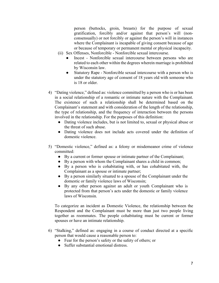person (buttocks, groin, breasts) for the purpose of sexual gratification, forcibly and/or against that person's will (nonconsensually) or not forcibly or against the person's will in instances where the Complainant is incapable of giving consent because of age or because of temporary or permanent mental or physical incapacity.

- (ii) Sex Offenses, Nonforcible Nonforcible sexual intercourse.
	- Incest Nonforcible sexual intercourse between persons who are related to each other within the degrees wherein marriage is prohibited by Wisconsin law.
	- Statutory Rape Nonforcible sexual intercourse with a person who is under the statutory age of consent of 18 years old with someone who is 18 or older.
- 4) "Dating violence," defined as: violence committed by a person who is or has been in a social relationship of a romantic or intimate nature with the Complainant. The existence of such a relationship shall be determined based on the Complainant's statement and with consideration of the length of the relationship, the type of relationship, and the frequency of interaction between the persons involved in the relationship. For the purposes of this definition:
	- Dating violence includes, but is not limited to, sexual or physical abuse or the threat of such abuse.
	- Dating violence does not include acts covered under the definition of domestic violence.
- 5) "Domestic violence," defined as: a felony or misdemeanor crime of violence committed:
	- By a current or former spouse or intimate partner of the Complainant;
	- By a person with whom the Complainant shares a child in common;
	- By a person who is cohabitating with, or has cohabitated with, the Complainant as a spouse or intimate partner;
	- By a person similarly situated to a spouse of the Complainant under the domestic or family violence laws of Wisconsin;
	- By any other person against an adult or youth Complainant who is protected from that person's acts under the domestic or family violence laws of Wisconsin.

To categorize an incident as Domestic Violence, the relationship between the Respondent and the Complainant must be more than just two people living together as roommates. The people cohabitating must be current or former spouses or have an intimate relationship.

- 6) "Stalking," defined as: engaging in a course of conduct directed at a specific person that would cause a reasonable person to:
	- Fear for the person's safety or the safety of others; or
	- Suffer substantial emotional distress.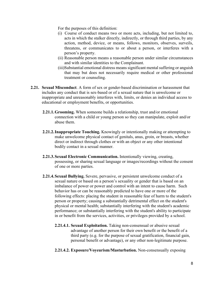For the purposes of this definition:

- (i) Course of conduct means two or more acts, including, but not limited to, acts in which the stalker directly, indirectly, or through third parties, by any action, method, device, or means, follows, monitors, observes, surveils, threatens, or communicates to or about a person, or interferes with a person's property.
- (ii) Reasonable person means a reasonable person under similar circumstances and with similar identities to the Complainant.
- (iii)Substantial emotional distress means significant mental suffering or anguish that may but does not necessarily require medical or other professional treatment or counseling.
- **2.21. Sexual Misconduct**. A form of sex or gender-based discrimination or harassment that includes any conduct that is sex-based or of a sexual nature that is unwelcome or inappropriate and unreasonably interferes with, limits, or denies an individual access to educational or employment benefits, or opportunities.
	- **2.21.1.Grooming.** When someone builds a relationship, trust and/or emotional connection with a child or young person so they can manipulate, exploit and/or abuse them.
	- **2.21.2.Inappropriate Touching.** Knowingly or intentionally making or attempting to make unwelcome physical contact of genitals, anus, groin, or breasts, whether direct or indirect through clothes or with an object or any other intentional bodily contact in a sexual manner.
	- **2.21.3.Sexual Electronic Communication.** Intentionally viewing, creating, possessing, or sharing sexual language or images/recordings without the consent of one or more parties.
	- **2.21.4.Sexual Bullying.** Severe, pervasive, or persistent unwelcome conduct of a sexual nature or based on a person's sexuality or gender that is based on an imbalance of power or power and control with an intent to cause harm. Such behavior has or can be reasonably predicted to have one or more of the following effects: placing the student in reasonable fear of harm to the student's person or property; causing a substantially detrimental effect on the student's physical or mental health; substantially interfering with the student's academic performance; or substantially interfering with the student's ability to participate in or benefit from the services, activities, or privileges provided by a school.
		- **2.21.4.1. Sexual Exploitation.** Taking non-consensual or abusive sexual advantage of another person for their own benefit or the benefit of a third party (e.g. for the purpose of sexual gratification, financial gain, personal benefit or advantage), or any other non-legitimate purpose.
		- **2.21.4.2. Exposure/Voyeurism/Masturbation.** Non-consensually exposing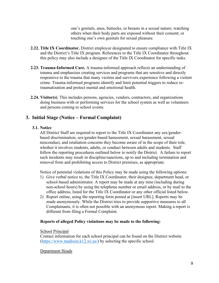one's genitals, anus, buttocks, or breasts in a sexual nature; watching others when their body parts are exposed without their consent; or touching one's own genitals for sexual pleasure.

- **2.22. Title IX Coordinator.** District employee designated to ensure compliance with Title IX and the District's Title IX program. References to the Title IX Coordinator throughout this policy may also include a designee of the Title IX Coordinator for specific tasks.
- **2.23. Trauma-Informed Care.** A trauma-informed approach reflects an understanding of trauma and emphasizes creating services and programs that are sensitive and directly responsive to the trauma that many victims and survivors experience following a violent crime. Trauma-informed programs identify and limit potential triggers to reduce retraumatization and protect mental and emotional health.
- **2.24. Visitor(s)**. This includes persons, agencies, vendors, contractors, and organizations doing business with or performing services for the school system as well as volunteers and persons coming to school events.

## **3. Initial Stage (Notice – Formal Complaint)**

## **3.1. Notice**

All District Staff are required to report to the Title IX Coordinator any sex/genderbased discrimination, sex/gender-based harassment, sexual harassment, sexual misconduct, and retaliation concerns they become aware of in the scope of their role, whether it involves students, adults, or conduct between adults and students. Staff follow the reporting procedures outlined below to notify the District. A failure to report such incidents may result in discipline/sanctions, up to and including termination and removal from and prohibiting access to District premises, as appropriate.

Notice of potential violations of this Policy may be made using the following options:

- 1) Give verbal notice to, the Title IX Coordinator, their designee, department head, or school-based administrator. A report may be made at any time (including during non-school hours) by using the telephone number or email address, or by mail to the office address, listed for the Title IX Coordinator or any other official listed below.
- 2) Report online, using the reporting form posted at [insert URL]. Reports may be made anonymously. While the District tries to provide supportive measures to all Complainants, it is often not possible with an anonymous report. Making a report is different from filing a Formal Complaint.

## **Reports of alleged Policy violations may be made to the following:**

School Principal

Contact information for each school principal can be found on the District website [\(https://www.madison.k12.wi.us/\)](https://www.madison.k12.wi.us/) by selecting the specific school.

## Department Heads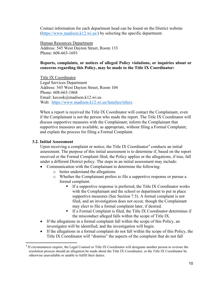Contact information for each department head can be found on the District website [\(https://www.madison.k12.wi.us/\)](https://www.madison.k12.wi.us/) by selecting the specific department.

Human Resources Department Address: 545 West Dayton Street, Room 133 Phone: 608-663-1693

## **Reports, complaints, or notices of alleged Policy violations, or inquiries about or concerns regarding this Policy, may be made to the Title IX Coordinator:**

Title IX Coordinator Legal Services Department Address: 545 West Dayton Street, Room 104 Phone: 608-663-1868 Email: kecook@madison.k12.wi.us Web: <https://www.madison.k12.wi.us/families/titleix>

When a report is received the Title IX Coordinator will contact the Complainant, even if the Complainant is not the person who made the report. The Title IX Coordinator will discuss supportive measures with the Complainant; inform the Complainant that supportive measures are available, as appropriate, without filing a Formal Complaint; and explain the process for filing a Formal Complaint.

## **3.2. Initial Assessment**

Upon receiving a complaint or notice, the Title IX Coordinator<sup>[4](#page-9-0)</sup> conducts an initial assessment. The purpose of this initial assessment is to determine if, based on the report received or the Formal Complaint filed, the Policy applies or the allegations, if true, fall under a different District policy. The steps in an initial assessment may include:

- Communication with the Complainant to determine the following:
	- o better understand the allegations.
	- o Whether the Complainant prefers to file a supportive response or pursue a formal complaint.
		- $\blacksquare$  If a supportive response is preferred, the Title IX Coordinator works with the Complainant and the school or department to put in place supportive measures (See Section 7.5). A formal complaint is not filed, and an investigation does not occur, though the Complainant may elect to file a formal complaint later, if desired.
		- If a Formal Complaint is filed, the Title IX Coordinator determines if the misconduct alleged falls within the scope of Title IX.
- If the allegations in a formal complaint fall within the scope of this Policy, an investigator will be identified, and the investigation will begin.
- If the allegations in a formal complaint do not fall within the scope of this Policy, the Title IX Coordinator will "dismiss" the aspects of the complaint that do not fall

<span id="page-9-0"></span><sup>4</sup> If circumstances require, the Legal Counsel or Title IX Coordinator will designate another person to oversee the resolution process should an allegation be made about the Title IX Coordinator, or the Title IX Coordinator be otherwise unavailable or unable to fulfill their duties.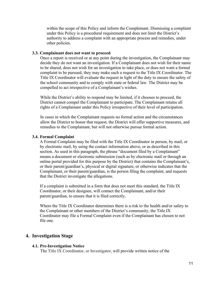within the scope of this Policy and inform the Complainant. Dismissing a complaint under this Policy is a procedural requirement and does not limit the District's authority to address a complaint with an appropriate process and remedies, under other policies.

#### **3.3. Complainant does not want to proceed**

Once a report is received or at any point during the investigation, the Complainant may decide they do not want an investigation. If a Complainant does not wish for their name to be shared, does not wish for an investigation to take place, or does not want a formal complaint to be pursued, they may make such a request to the Title IX Coordinator. The Title IX Coordinator will evaluate the request in light of the duty to ensure the safety of the school community and to comply with state or federal law. The District may be compelled to act irrespective of a Complainant's wishes.

While the District's ability to respond may be limited, if it chooses to proceed, the District cannot compel the Complainant to participate. The Complainant retains all rights of a Complainant under this Policy irrespective of their level of participation.

In cases in which the Complainant requests no formal action and the circumstances allow the District to honor that request, the District will offer supportive measures, and remedies to the Complainant, but will not otherwise pursue formal action.

#### **3.4. Formal Complaint**

A Formal Complaint may be filed with the Title IX Coordinator in person, by mail, or by electronic mail, by using the contact information above, or as described in this section. As used in this paragraph, the phrase "document filed by a Complainant" means a document or electronic submission (such as by electronic mail or through an online portal provided for this purpose by the District) that contains the Complainant's, or their parent/guardian's, physical or digital signature, or otherwise indicates that the Complainant, or their parent/guardian, is the person filing the complaint, and requests that the District investigate the allegations.

If a complaint is submitted in a form that does not meet this standard, the Title IX Coordinator, or their designee, will contact the Complainant, and/or their parent/guardian, to ensure that it is filed correctly.

Where the Title IX Coordinator determines there is a risk to the health and/or safety to the Complainant or other members of the District's community, the Title IX Coordinator may file a Formal Complaint even if the Complainant has chosen to not file one.

## **4. Investigation Stage**

#### **4.1. Pre-Investigation Notice**

The Title IX Coordinator, or Investigator, will provide written notice of the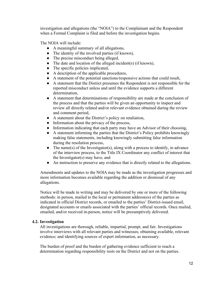investigation and allegations (the "NOIA") to the Complainant and the Respondent when a Formal Complaint is filed and before the investigation begins.

The NOIA will include:

- A meaningful summary of all allegations,
- The identity of the involved parties (if known),
- The precise misconduct being alleged,
- The date and location of the alleged incident(s) (if known),
- The specific policies implicated,
- A description of the applicable procedures,
- A statement of the potential sanctions/responsive actions that could result,
- A statement that the District presumes the Respondent is not responsible for the reported misconduct unless and until the evidence supports a different determination,
- A statement that determinations of responsibility are made at the conclusion of the process and that the parties will be given an opportunity to inspect and review all directly related and/or relevant evidence obtained during the review and comment period,
- A statement about the District's policy on retaliation,
- Information about the privacy of the process,
- Information indicating that each party may have an Advisor of their choosing,
- A statement informing the parties that the District's Policy prohibits knowingly making false statements, including knowingly submitting false information during the resolution process,
- The name(s) of the Investigator(s), along with a process to identify, in advance of the interview process, to the Title IX Coordinator any conflict of interest that the Investigator(s) may have, and
- An instruction to preserve any evidence that is directly related to the allegations.

Amendments and updates to the NOIA may be made as the investigation progresses and more information becomes available regarding the addition or dismissal of any allegations.

Notice will be made in writing and may be delivered by one or more of the following methods: in person, mailed to the local or permanent address(es) of the parties as indicated in official District records, or emailed to the parties' District-issued email, designated accounts or emails associated with the parties' official records. Once mailed, emailed, and/or received in-person, notice will be presumptively delivered.

## **4.2. Investigation**

All investigations are thorough, reliable, impartial, prompt, and fair. Investigations involve interviews with all relevant parties and witnesses; obtaining available, relevant evidence; and identifying sources of expert information, as necessary.

The burden of proof and the burden of gathering evidence sufficient to reach a determination regarding responsibility rests on the District and not on the parties.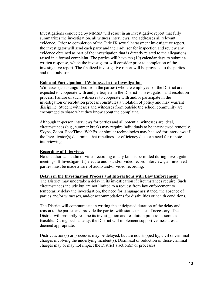Investigations conducted by MMSD will result in an investigative report that fully summarizes the investigation, all witness interviews, and addresses all relevant evidence. Prior to completion of the Title IX sexual harassment investigative report, the investigator will send each party and their advisor for inspection and review any evidence obtained as part of the investigation that is directly related to the allegations raised in a formal complaint. The parties will have ten (10) calendar days to submit a written response, which the investigator will consider prior to completion of the investigative report. The finalized investigative report will be provided to the parties and their advisors.

#### **Role and Participation of Witnesses in the Investigation**

Witnesses (as distinguished from the parties) who are employees of the District are expected to cooperate with and participate in the District's investigation and resolution process. Failure of such witnesses to cooperate with and/or participate in the investigation or resolution process constitutes a violation of policy and may warrant discipline. Student witnesses and witnesses from outside the school community are encouraged to share what they know about the complaint.

Although in-person interviews for parties and all potential witnesses are ideal, circumstances (e.g., summer break) may require individuals to be interviewed remotely. Skype, Zoom, FaceTime, WebEx, or similar technologies may be used for interviews if the Investigator(s) determine that timeliness or efficiency dictate a need for remote interviewing.

## **Recording of Interviews**

No unauthorized audio or video recording of any kind is permitted during investigation meetings. If Investigator(s) elect to audio and/or video record interviews, all involved parties must be made aware of audio and/or video recording.

#### **Delays in the Investigation Process and Interactions with Law Enforcement**

The District may undertake a delay in its investigation if circumstances require. Such circumstances include but are not limited to a request from law enforcement to temporarily delay the investigation, the need for language assistance, the absence of parties and/or witnesses, and/or accommodations for disabilities or health conditions.

The District will communicate in writing the anticipated duration of the delay and reason to the parties and provide the parties with status updates if necessary. The District will promptly resume its investigation and resolution process as soon as feasible. During such a delay, the District will implement supportive measures as deemed appropriate.

District action(s) or processes may be delayed, but are not stopped by, civil or criminal charges involving the underlying incident(s). Dismissal or reduction of those criminal charges may or may not impact the District's action(s) or processes.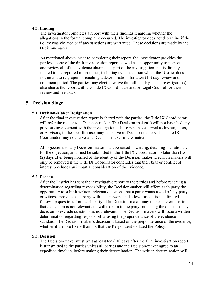#### **4.3. Finding**

The investigator completes a report with their findings regarding whether the allegations in the formal complaint occurred. The investigator does not determine if the Policy was violated or if any sanctions are warranted. These decisions are made by the Decision-maker.

As mentioned above, prior to completing their report, the investigator provides the parties a copy of the draft investigation report as well as an opportunity to inspect and review all of the evidence obtained as part of the investigation that is directly related to the reported misconduct, including evidence upon which the District does not intend to rely upon in reaching a determination, for a ten (10) day review and comment period. The parties may elect to waive the full ten days. The Investigator(s) also shares the report with the Title IX Coordinator and/or Legal Counsel for their review and feedback.

## **5. Decision Stage**

## **5.1. Decision-Maker Designation**

After the final investigation report is shared with the parties, the Title IX Coordinator will refer the matter to a Decision-maker. The Decision-maker(s) will not have had any previous involvement with the investigation. Those who have served as Investigators, or Advisors, in the specific case, may not serve as Decision-makers. The Title IX Coordinator may not serve as a Decision-maker in the matter.

All objections to any Decision-maker must be raised in writing, detailing the rationale for the objection, and must be submitted to the Title IX Coordinator no later than two (2) days after being notified of the identity of the Decision-maker. Decision-makers will only be removed if the Title IX Coordinator concludes that their bias or conflict of interest precludes an impartial consideration of the evidence.

## **5.2. Process**

After the District has sent the investigative report to the parties and before reaching a determination regarding responsibility, the Decision-maker will afford each party the opportunity to submit written, relevant questions that a party wants asked of any party or witness, provide each party with the answers, and allow for additional, limited follow-up questions from each party. The Decision-maker may make a determination that a question is not relevant and will explain to the party proposing the questions any decision to exclude questions as not relevant. The Decision-makers will issue a written determination regarding responsibility using the preponderance of the evidence standard. The Decision-maker's decision is based on the preponderance of the evidence; whether it is more likely than not that the Respondent violated the Policy.

## **5.3. Decision**

The Decision-maker must wait at least ten (10) days after the final investigation report is transmitted to the parties unless all parties and the Decision-maker agree to an expedited timeline, before making their determination. The written determination will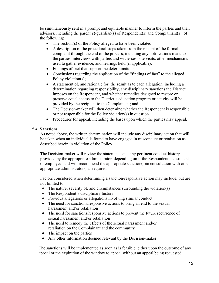be simultaneously sent in a prompt and equitable manner to inform the parties and their advisors, including the parent(s)/guardian(s) of Respondent(s) and Complainant(s), of the following:

- The section(s) of the Policy alleged to have been violated;
- A description of the procedural steps taken from the receipt of the formal complaint through the end of the process, including any notifications made to the parties, interviews with parties and witnesses, site visits, other mechanisms used to gather evidence, and hearings held (if applicable);
- Findings of fact that support the determination;
- Conclusions regarding the application of the "findings of fact" to the alleged Policy violation(s);
- A statement of, and rationale for, the result as to each allegation, including a determination regarding responsibility, any disciplinary sanctions the District imposes on the Respondent, and whether remedies designed to restore or preserve equal access to the District's education program or activity will be provided by the recipient to the Complainant; and
- The Decision-maker will then determine whether the Respondent is responsible or not responsible for the Policy violation(s) in question.
- Procedures for appeal, including the bases upon which the parties may appeal.

## **5.4. Sanctions**

As noted above, the written determination will include any disciplinary action that will be taken when an individual is found to have engaged in misconduct or retaliation as described herein in violation of the Policy.

The Decision-maker will review the statements and any pertinent conduct history provided by the appropriate administrator, depending on if the Respondent is a student or employee, and will recommend the appropriate sanction(s)in consultation with other appropriate administrators, as required.

Factors considered when determining a sanction/responsive action may include, but are not limited to:

- The nature, severity of, and circumstances surrounding the violation(s)
- The Respondent's disciplinary history
- Previous allegations or allegations involving similar conduct
- The need for sanctions/responsive actions to bring an end to the sexual harassment and/or retaliation
- The need for sanctions/responsive actions to prevent the future recurrence of sexual harassment and/or retaliation
- The need to remedy the effects of the sexual harassment and/or retaliation on the Complainant and the community
- The impact on the parties
- Any other information deemed relevant by the Decision-maker

The sanctions will be implemented as soon as is feasible, either upon the outcome of any appeal or the expiration of the window to appeal without an appeal being requested.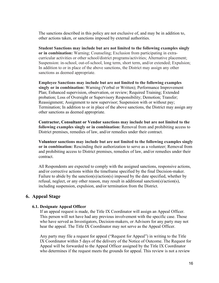The sanctions described in this policy are not exclusive of, and may be in addition to, other actions taken, or sanctions imposed by external authorities.

**Student Sanctions may include but are not limited to the following examples singly or in combination:** Warning; Counseling; Exclusion from participating in extracurricular activities or other school/district programs/activities; Alternative placement; Suspension: in-school, out-of-school, long term, short term, and/or extended; Expulsion; In addition to or in place of the above sanctions, the District may assign any other sanctions as deemed appropriate.

**Employee Sanctions may include but are not limited to the following examples singly or in combination:** Warning (Verbal or Written); Performance Improvement Plan; Enhanced supervision, observation, or review; Required Training; Extended probation; Loss of Oversight or Supervisory Responsibility; Demotion; Transfer; Reassignment; Assignment to new supervisor; Suspension with or without pay; Termination; In addition to or in place of the above sanctions, the District may assign any other sanctions as deemed appropriate.

**Contractor, Consultant or Vendor sanctions may include but are not limited to the following examples singly or in combination:** Removal from and prohibiting access to District premises, remedies of law, and/or remedies under their contract.

**Volunteer sanctions may include but are not limited to the following examples singly or in combination:** Rescinding their authorization to serve as a volunteer; Removal from and prohibiting access to District premises, remedies of law, and/or remedies under their contract.

All Respondents are expected to comply with the assigned sanctions, responsive actions, and/or corrective actions within the timeframe specified by the final Decision-maker. Failure to abide by the sanction(s)/action(s) imposed by the date specified, whether by refusal, neglect, or any other reason, may result in additional sanction(s)/action(s), including suspension, expulsion, and/or termination from the District.

## **6. Appeal Stage**

## **6.1. Designate Appeal Officer**

If an appeal request is made, the Title IX Coordinator will assign an Appeal Officer. This person will not have had any previous involvement with the specific case. Those who have served as Investigators, Decision-makers, or Advisors for any party may not hear the appeal. The Title IX Coordinator may not serve as the Appeal Officer.

Any party may file a request for appeal ("Request for Appeal") in writing to the Title IX Coordinator within 5 days of the delivery of the Notice of Outcome. The Request for Appeal will be forwarded to the Appeal Officer assigned by the Title IX Coordinator who determines if the request meets the grounds for appeal. This review is not a review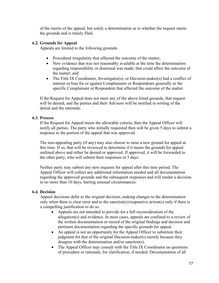of the merits of the appeal, but solely a determination as to whether the request meets the grounds and is timely filed.

## **6.2. Grounds for Appeal**

Appeals are limited to the following grounds:

- Procedural irregularity that affected the outcome of the matter;
- New evidence that was not reasonably available at the time the determination regarding responsibility or dismissal was made, that could affect the outcome of the matter; and
- The Title IX Coordinator, Investigator(s), or Decision-maker(s) had a conflict of interest or bias for or against Complainants or Respondents generally or the specific Complainant or Respondent that affected the outcome of the matter.

If the Request for Appeal does not meet any of the above listed grounds, that request will be denied, and the parties and their Advisors will be notified in writing of the denial and the rationale.

## **6.3. Process**

If the Request for Appeal meets the allowable criteria, then the Appeal Officer will notify all parties. The party who initially requested then will be given 5 days to submit a response to the portion of the appeal that was approved.

The non-appealing party (if any) may also choose to raise a new ground for appeal at this time. If so, that will be reviewed to determine if it meets the grounds for appeal outlined above and either be denied or approved. If approved, it will be forwarded to the other party, who will submit their responses in 5 days.

Neither party may submit any new requests for appeal after this time period. The Appeal Officer will collect any additional information needed and all documentation regarding the approved grounds and the subsequent responses and will render a decision in no more than 10 days, barring unusual circumstances.

## **6.4. Decision**

Appeal decisions defer to the original decision, making changes to the determination only when there is clear error and to the sanction(s)/responsive action(s) only if there is a compelling justification to do so.

- Appeals are not intended to provide for a full reconsideration of the allegation(s) and evidence. In most cases, appeals are confined to a review of the written documentation or record of the original findings and decision and pertinent documentation regarding the specific grounds for appeal.
- An appeal is not an opportunity for the Appeal Officer to substitute their judgment for that of the original Decision-maker(s) merely because they disagree with the determination and/or sanction(s).
- The Appeal Officer may consult with the Title IX Coordinator on questions of procedure or rationale, for clarification, if needed. Documentation of all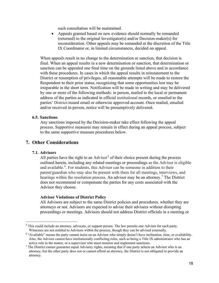such consultation will be maintained.

• Appeals granted based on new evidence should normally be remanded (returned) to the original Investigator(s) and/or Decision-maker(s) for reconsideration. Other appeals may be remanded at the discretion of the Title IX Coordinator or, in limited circumstances, decided on appeal.

When appeals result in no change to the determination or sanction, that decision is final. When an appeal results in a new determination or sanction, that determination or sanction can be appealed one final time on the grounds listed above and in accordance with these procedures. In cases in which the appeal results in reinstatement to the District or resumption of privileges, all reasonable attempts will be made to restore the Respondent to their prior status, recognizing that some opportunities lost may be irreparable in the short term. Notification will be made in writing and may be delivered by one or more of the following methods: in person, mailed to the local or permanent address of the parties as indicated in official institutional records, or emailed to the parties' District-issued email or otherwise approved account. Once mailed, emailed and/or received in-person, notice will be presumptively delivered.

#### **6.5. Sanctions**

Any sanctions imposed by the Decision-maker take effect following the appeal process. Supportive measures may remain in effect during an appeal process, subject to the same supportive measure procedures below.

## **7. Other Considerations**

## **7.1. Advisors**

All parties have the right to an  $\text{Advisor}^5$  $\text{Advisor}^5$  of their choice present during the process outlined herein, including any related meetings or proceedings as the Advisor is eligible and available.<sup>[6](#page-17-1)</sup>. For students, this Advisor can be someone in addition to their parent/guardian who may also be present with them for all meetings, interviews, and hearings within the resolution process. An advisor may be an attorney.<sup>[7](#page-17-2)</sup> The District does not recommend or compensate the parties for any costs associated with the Advisor they choose.

#### **Advisor Violations of District Policy**

All Advisors are subject to the same District policies and procedures, whether they are attorneys or not. Advisors are expected to advise their advisees without disrupting proceedings or meetings. Advisors should not address District officials in a meeting or

<span id="page-17-0"></span><sup>&</sup>lt;sup>5</sup> This could include an attorney, advocate, or support person. The law permits one Advisor for each party. Witnesses are not entitled to Advisors within the process, though they can be advised externally.

<span id="page-17-1"></span><sup>6</sup> "Available" means the party cannot insist on an Advisor who simply doesn't have inclination, time, or availability. Also, the Advisor cannot have institutionally conflicting roles, such as being a Title IX administrator who has an active role in the matter, or a supervisor who must monitor and implement sanctions.<br><sup>7</sup> The District cannot guarantee equal Advisory rights, meaning that if one party selects an Advisor who is an

<span id="page-17-2"></span>attorney, but the other party does not or cannot afford an attorney, the District is not obligated to provide an attorney.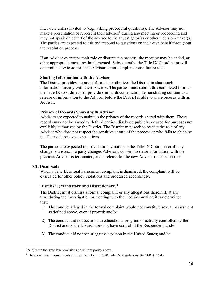interview unless invited to (e.g., asking procedural questions). The Advisor may not make a presentation or represent their advisee<sup>[8](#page-18-0)</sup> during any meeting or proceeding and may not speak on behalf of the advisee to the Investigator(s) or other Decision-maker(s). The parties are expected to ask and respond to questions on their own behalf throughout the resolution process.

If an Advisor oversteps their role or disrupts the process, the meeting may be ended, or other appropriate measures implemented. Subsequently, the Title IX Coordinator will determine how to address the Advisor's non-compliance and future role.

## **Sharing Information with the Advisor**

The District provides a consent form that authorizes the District to share such information directly with their Advisor. The parties must submit this completed form to the Title IX Coordinator or provide similar documentation demonstrating consent to a release of information to the Advisor before the District is able to share records with an Advisor.

#### **Privacy of Records Shared with Advisor**

Advisors are expected to maintain the privacy of the records shared with them. These records may not be shared with third parties, disclosed publicly, or used for purposes not explicitly authorized by the District. The District may seek to restrict the role of any Advisor who does not respect the sensitive nature of the process or who fails to abide by the District's privacy expectations.

The parties are expected to provide timely notice to the Title IX Coordinator if they change Advisors. If a party changes Advisors, consent to share information with the previous Advisor is terminated, and a release for the new Advisor must be secured.

## **7.2. Dismissals**

When a Title IX sexual harassment complaint is dismissed, the complaint will be evaluated for other policy violations and processed accordingly.

## **Dismissal (Mandatory and Discretionary)[9](#page-18-1)**

The District must dismiss a formal complaint or any allegations therein if, at any time during the investigation or meeting with the Decision-maker, it is determined that:

- 1) The conduct alleged in the formal complaint would not constitute sexual harassment as defined above, even if proved; and/or
- 2) The conduct did not occur in an educational program or activity controlled by the District and/or the District does not have control of the Respondent; and/or
- 3) The conduct did not occur against a person in the United States; and/or

<span id="page-18-0"></span><sup>&</sup>lt;sup>8</sup> Subject to the state law provisions or District policy above.

<span id="page-18-1"></span> $9$  These dismissal requirements are mandated by the 2020 Title IX Regulations, 34 CFR §106.45.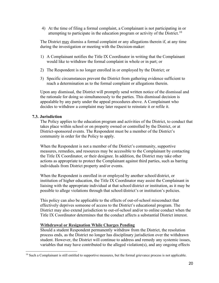4) At the time of filing a formal complaint, a Complainant is not participating in or attempting to participate in the education program or activity of the District.<sup>[10](#page-19-0)</sup>

The District may dismiss a formal complaint or any allegations therein if, at any time during the investigation or meeting with the Decision-maker:

- 1) A Complainant notifies the Title IX Coordinator in writing that the Complainant would like to withdraw the formal complaint in whole or in part; or
- 2) The Respondent is no longer enrolled in or employed by the District; or
- 3) Specific circumstances prevent the District from gathering evidence sufficient to reach a determination as to the formal complaint or allegations therein.

Upon any dismissal, the District will promptly send written notice of the dismissal and the rationale for doing so simultaneously to the parties. This dismissal decision is appealable by any party under the appeal procedures above. A Complainant who decides to withdraw a complaint may later request to reinstate it or refile it.

## **7.3. Jurisdiction**

The Policy applies to the education program and activities of the District, to conduct that takes place within school or on property owned or controlled by the District, or at District-sponsored events. The Respondent must be a member of the District's community in order for the Policy to apply.

When the Respondent is not a member of the District's community, supportive measures, remedies, and resources may be accessible to the Complainant by contacting the Title IX Coordinator, or their designee. In addition, the District may take other actions as appropriate to protect the Complainant against third parties, such as barring individuals from District property and/or events.

When the Respondent is enrolled in or employed by another school/district, or institution of higher education, the Title IX Coordinator may assist the Complainant in liaising with the appropriate individual at that school/district or institution, as it may be possible to allege violations through that school/district's or institution's policies.

This policy can also be applicable to the effects of out-of-school misconduct that effectively deprives someone of access to the District's educational program. The District may also extend jurisdiction to out-of-school and/or to online conduct when the Title IX Coordinator determines that the conduct affects a substantial District interest.

## **Withdrawal or Resignation While Charges Pending**

Should a student Respondent permanently withdraw from the District, the resolution process ends, as the District no longer has disciplinary jurisdiction over the withdrawn student. However, the District will continue to address and remedy any systemic issues, variables that may have contributed to the alleged violation(s), and any ongoing effects

<span id="page-19-0"></span><sup>&</sup>lt;sup>10</sup> Such a Complainant is still entitled to supportive measures, but the formal grievance process is not applicable.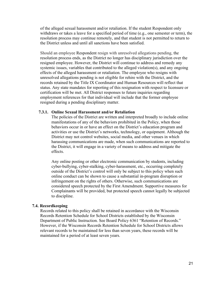of the alleged sexual harassment and/or retaliation. If the student Respondent only withdraws or takes a leave for a specified period of time (e.g., one semester or term), the resolution process may continue remotely, and that student is not permitted to return to the District unless and until all sanctions have been satisfied.

Should an employee Respondent resign with unresolved allegations pending, the resolution process ends, as the District no longer has disciplinary jurisdiction over the resigned employee. However, the District will continue to address and remedy any systemic issues, variables that contributed to the alleged violation(s), and any ongoing effects of the alleged harassment or retaliation. The employee who resigns with unresolved allegations pending is not eligible for rehire with the District, and the records retained by the Title IX Coordinator and Human Resources will reflect that status. Any state mandates for reporting of this resignation with respect to licensure or certification will be met. All District responses to future inquiries regarding employment references for that individual will include that the former employee resigned during a pending disciplinary matter.

#### **7.3.1. Online Sexual Harassment and/or Retaliation**

The policies of the District are written and interpreted broadly to include online manifestations of any of the behaviors prohibited in the Policy, when those behaviors occur in or have an effect on the District's education program and activities or use the District's networks, technology, or equipment. Although the District may not control websites, social media, and other venues in which harassing communications are made, when such communications are reported to the District, it will engage in a variety of means to address and mitigate the effects.

Any online posting or other electronic communication by students, including cyber-bullying, cyber-stalking, cyber-harassment, etc., occurring completely outside of the District's control will only be subject to this policy when such online conduct can be shown to cause a substantial in-program disruption or infringement on the rights of others. Otherwise, such communications are considered speech protected by the First Amendment. Supportive measures for Complainants will be provided, but protected speech cannot legally be subjected to discipline.

#### **7.4. Recordkeeping**

Records related to this policy shall be retained in accordance with the Wisconsin Records Retention Schedule for School Districts established by the Wisconsin Department of Public Instruction. See Board Policy 6361 "Retention of Records." However, if the Wisconsin Records Retention Schedule for School Districts allows relevant records to be maintained for less than seven years, these records will be maintained for a period of at least seven years.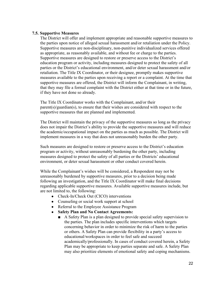## **7.5. Supportive Measures**

The District will offer and implement appropriate and reasonable supportive measures to the parties upon notice of alleged sexual harassment and/or retaliation under the Policy. Supportive measures are non-disciplinary, non-punitive individualized services offered as appropriate, as reasonably available, and without fee or charge to the parties. Supportive measures are designed to restore or preserve access to the District's education program or activity, including measures designed to protect the safety of all parties or the District's educational environment, and/or deter sexual harassment and/or retaliation. The Title IX Coordinator, or their designee, promptly makes supportive measures available to the parties upon receiving a report or a complaint. At the time that supportive measures are offered, the District will inform the Complainant, in writing, that they may file a formal complaint with the District either at that time or in the future, if they have not done so already.

The Title IX Coordinator works with the Complainant, and/or their  $parent(s)/quantian(s)$ , to ensure that their wishes are considered with respect to the supportive measures that are planned and implemented.

The District will maintain the privacy of the supportive measures so long as the privacy does not impair the District's ability to provide the supportive measures and will reduce the academic/occupational impact on the parties as much as possible. The District will implement measures in a way that does not unreasonably burden the other party.

Such measures are designed to restore or preserve access to the District's education program or activity, without unreasonably burdening the other party, including measures designed to protect the safety of all parties or the Districts' educational environment, or deter sexual harassment or other conduct covered herein.

While the Complainant's wishes will be considered, a Respondent may not be unreasonably burdened by supportive measures, prior to a decision being made following an investigation, and the Title IX Coordinator will make final decisions regarding applicable supportive measures. Available supportive measures include, but are not limited to, the following:

- Check-In/Check Out (CICO) interventions
- Counseling or social work support at school
- Referral to the Employee Assistance Program
- **Safety Plan and No Contact Agreements:**
	- A Safety Plan is a plan designed to provide special safety supervision to the parties. The plan includes specific interventions which targets concerning behavior in order to minimize the risk of harm to the parties or others. A Safety Plan can provide flexibility in a party's access to educational/workspaces in order to feel safe and succeed academically/professionally. In cases of conduct covered herein, a Safety Plan may be appropriate to keep parties separate and safe. A Safety Plan may also prioritize elements of emotional safety and coping mechanisms.